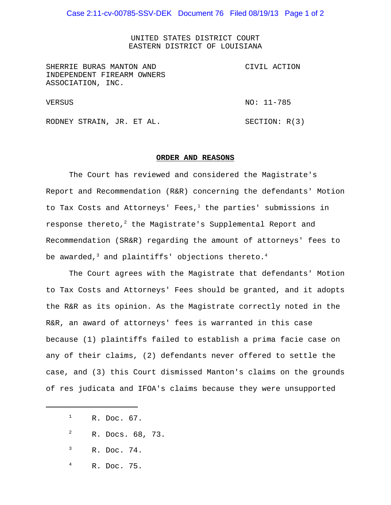Case 2:11-cv-00785-SSV-DEK Document 76 Filed 08/19/13 Page 1 of 2

UNITED STATES DISTRICT COURT EASTERN DISTRICT OF LOUISIANA

| SHERRIE BURAS MANTON AND   |              | CIVIL ACTION |
|----------------------------|--------------|--------------|
| INDEPENDENT FIREARM OWNERS |              |              |
| ASSOCIATION, INC.          |              |              |
|                            |              |              |
| VERSUS                     | $NO: 11-785$ |              |

RODNEY STRAIN, JR. ET AL. SECTION: R(3)

## **ORDER AND REASONS**

The Court has reviewed and considered the Magistrate's Report and Recommendation (R&R) concerning the defendants' Motion to Tax Costs and Attorneys' Fees, $^1$  the parties' submissions in response thereto,<sup>2</sup> the Magistrate's Supplemental Report and Recommendation (SR&R) regarding the amount of attorneys' fees to be awarded,<sup>3</sup> and plaintiffs' objections thereto.<sup>4</sup>

The Court agrees with the Magistrate that defendants' Motion to Tax Costs and Attorneys' Fees should be granted, and it adopts the R&R as its opinion. As the Magistrate correctly noted in the R&R, an award of attorneys' fees is warranted in this case because (1) plaintiffs failed to establish a prima facie case on any of their claims, (2) defendants never offered to settle the case, and (3) this Court dismissed Manton's claims on the grounds of res judicata and IFOA's claims because they were unsupported

 $<sup>1</sup>$  R. Doc. 67.</sup>

- <sup>2</sup> R. Docs. 68, 73.
- $\lambda$  R. Doc. 74.
- <sup>4</sup> R. Doc. 75.